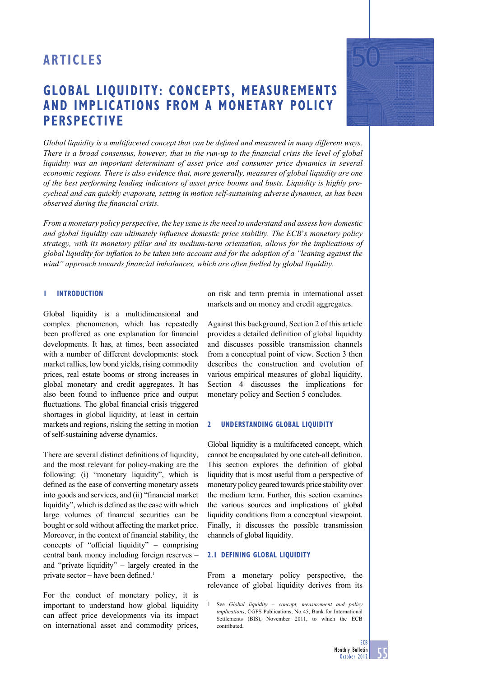# **GLOBAL LIQUIDITY: CONCEPTS, MEASUREMENTS AND IMPLICATIONS FROM A MONETARY POLICY PERSPECTIVE**

Global liquidity is a multifaceted concept that can be defined and measured in many different ways. *There is a broad consensus, however, that in the run-up to the financial crisis the level of global liquidity was an important determinant of asset price and consumer price dynamics in several economic regions. There is also evidence that, more generally, measures of global liquidity are one of the best performing leading indicators of asset price booms and busts. Liquidity is highly procyclical and can quickly evaporate, setting in motion self-sustaining adverse dynamics, as has been observed during the financial crisis.* 

*From a monetary policy perspective, the key issue is the need to understand and assess how domestic and global liquidity can ultimately infl uence domestic price stability. The ECB*'*s monetary policy strategy, with its monetary pillar and its medium-term orientation, allows for the implications of global liquidity for infl ation to be taken into account and for the adoption of a "leaning against the*  wind" approach towards financial imbalances, which are often fuelled by global liquidity.

# **1 INTRODUCTION**

Global liquidity is a multidimensional and complex phenomenon, which has repeatedly been proffered as one explanation for financial developments. It has, at times, been associated with a number of different developments: stock market rallies, low bond yields, rising commodity prices, real estate booms or strong increases in global monetary and credit aggregates. It has also been found to influence price and output fluctuations. The global financial crisis triggered shortages in global liquidity, at least in certain markets and regions, risking the setting in motion of self-sustaining adverse dynamics.

There are several distinct definitions of liquidity, and the most relevant for policy-making are the following: (i) "monetary liquidity", which is defined as the ease of converting monetary assets into goods and services, and (ii) "financial market liquidity", which is defined as the ease with which large volumes of financial securities can be bought or sold without affecting the market price. Moreover, in the context of financial stability, the concepts of "official liquidity" – comprising central bank money including foreign reserves – and "private liquidity" – largely created in the private sector – have been defined.<sup>1</sup>

For the conduct of monetary policy, it is important to understand how global liquidity can affect price developments via its impact on international asset and commodity prices, on risk and term premia in international asset markets and on money and credit aggregates.

Against this background, Section 2 of this article provides a detailed definition of global liquidity and discusses possible transmission channels from a conceptual point of view. Section 3 then describes the construction and evolution of various empirical measures of global liquidity. Section 4 discusses the implications for monetary policy and Section 5 concludes.

## **2 UNDERSTANDING GLOBAL LIQUIDITY**

Global liquidity is a multifaceted concept, which cannot be encapsulated by one catch-all definition. This section explores the definition of global liquidity that is most useful from a perspective of monetary policy geared towards price stability over the medium term. Further, this section examines the various sources and implications of global liquidity conditions from a conceptual viewpoint. Finally, it discusses the possible transmission channels of global liquidity.

## **2.1 DEFINING GLOBAL LIQUIDITY**

From a monetary policy perspective, the relevance of global liquidity derives from its

<sup>1</sup> See *Global liquidity – concept, measurement and policy implications*, CGFS Publications, No 45, Bank for International Settlements (BIS), November 2011, to which the ECB contributed.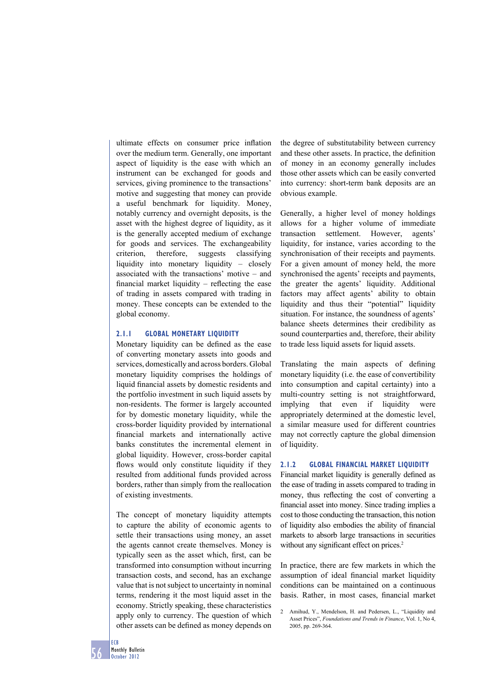ultimate effects on consumer price inflation over the medium term. Generally, one important aspect of liquidity is the ease with which an instrument can be exchanged for goods and services, giving prominence to the transactions' motive and suggesting that money can provide a useful benchmark for liquidity. Money, notably currency and overnight deposits, is the asset with the highest degree of liquidity, as it is the generally accepted medium of exchange for goods and services. The exchangeability criterion, therefore, suggests classifying liquidity into monetary liquidity – closely associated with the transactions' motive – and financial market liquidity  $-$  reflecting the ease of trading in assets compared with trading in money. These concepts can be extended to the global economy.

### **2.1.1 GLOBAL MONETARY LIQUIDITY**

Monetary liquidity can be defined as the ease of converting monetary assets into goods and services, domestically and across borders. Global monetary liquidity comprises the holdings of liquid financial assets by domestic residents and the portfolio investment in such liquid assets by non-residents. The former is largely accounted for by domestic monetary liquidity, while the cross-border liquidity provided by international financial markets and internationally active banks constitutes the incremental element in global liquidity. However, cross-border capital flows would only constitute liquidity if they resulted from additional funds provided across borders, rather than simply from the reallocation of existing investments.

The concept of monetary liquidity attempts to capture the ability of economic agents to settle their transactions using money, an asset the agents cannot create themselves. Money is typically seen as the asset which, first, can be transformed into consumption without incurring transaction costs, and second, has an exchange value that is not subject to uncertainty in nominal terms, rendering it the most liquid asset in the economy. Strictly speaking, these characteristics apply only to currency. The question of which other assets can be defined as money depends on

the degree of substitutability between currency and these other assets. In practice, the definition of money in an economy generally includes those other assets which can be easily converted into currency: short-term bank deposits are an obvious example.

Generally, a higher level of money holdings allows for a higher volume of immediate transaction settlement. However, agents' liquidity, for instance, varies according to the synchronisation of their receipts and payments. For a given amount of money held, the more synchronised the agents' receipts and payments, the greater the agents' liquidity. Additional factors may affect agents' ability to obtain liquidity and thus their "potential" liquidity situation. For instance, the soundness of agents' balance sheets determines their credibility as sound counterparties and, therefore, their ability to trade less liquid assets for liquid assets.

Translating the main aspects of defining monetary liquidity (i.e. the ease of convertibility into consumption and capital certainty) into a multi-country setting is not straightforward, implying that even if liquidity were appropriately determined at the domestic level, a similar measure used for different countries may not correctly capture the global dimension of liquidity.

### **2.1.2 GLOBAL FINANCIAL MARKET LIQUIDITY**

Financial market liquidity is generally defined as the ease of trading in assets compared to trading in money, thus reflecting the cost of converting a financial asset into money. Since trading implies a cost to those conducting the transaction, this notion of liquidity also embodies the ability of financial markets to absorb large transactions in securities without any significant effect on prices.<sup>2</sup>

In practice, there are few markets in which the assumption of ideal financial market liquidity conditions can be maintained on a continuous basis. Rather, in most cases, financial market

<sup>2</sup> Amihud, Y., Mendelson, H. and Pedersen, L., "Liquidity and Asset Prices", *Foundations and Trends in Finance*, Vol. 1, No 4, 2005, pp. 269-364.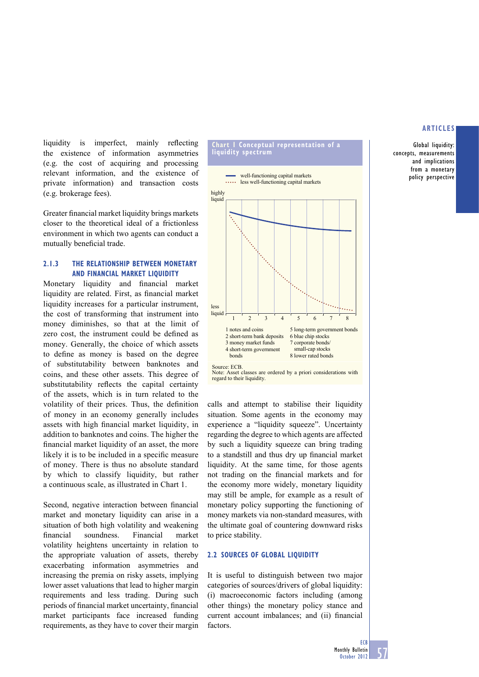Global liquidity: concepts, measurements and implications from a monetary policy perspective

liquidity is imperfect, mainly reflecting the existence of information asymmetries (e.g. the cost of acquiring and processing relevant information, and the existence of private information) and transaction costs (e.g. brokerage fees).

Greater financial market liquidity brings markets closer to the theoretical ideal of a frictionless environment in which two agents can conduct a mutually beneficial trade.

# **2.1.3 THE RELATIONSHIP BETWEEN MONETARY AND FINANCIAL MARKET LIQUIDITY**

Monetary liquidity and financial market liquidity are related. First, as financial market liquidity increases for a particular instrument, the cost of transforming that instrument into money diminishes, so that at the limit of zero cost, the instrument could be defined as money. Generally, the choice of which assets to define as money is based on the degree of substitutability between banknotes and coins, and these other assets. This degree of substitutability reflects the capital certainty of the assets, which is in turn related to the volatility of their prices. Thus, the definition of money in an economy generally includes assets with high financial market liquidity, in addition to banknotes and coins. The higher the financial market liquidity of an asset, the more likely it is to be included in a specific measure of money. There is thus no absolute standard by which to classify liquidity, but rather a continuous scale, as illustrated in Chart 1.

Second, negative interaction between financial market and monetary liquidity can arise in a situation of both high volatility and weakening fi nancial soundness. Financial market volatility heightens uncertainty in relation to the appropriate valuation of assets, thereby exacerbating information asymmetries and increasing the premia on risky assets, implying lower asset valuations that lead to higher margin requirements and less trading. During such periods of financial market uncertainty, financial market participants face increased funding requirements, as they have to cover their margin





Note: EED:<br>Note: Asset classes are ordered by a priori considerations with regard to their liquidity.

calls and attempt to stabilise their liquidity situation. Some agents in the economy may experience a "liquidity squeeze". Uncertainty regarding the degree to which agents are affected by such a liquidity squeeze can bring trading to a standstill and thus dry up financial market liquidity. At the same time, for those agents not trading on the financial markets and for the economy more widely, monetary liquidity may still be ample, for example as a result of monetary policy supporting the functioning of money markets via non-standard measures, with the ultimate goal of countering downward risks to price stability.

## **2.2 SOURCES OF GLOBAL LIQUIDITY**

It is useful to distinguish between two major categories of sources/drivers of global liquidity: (i) macroeconomic factors including (among other things) the monetary policy stance and current account imbalances; and (ii) financial factors.

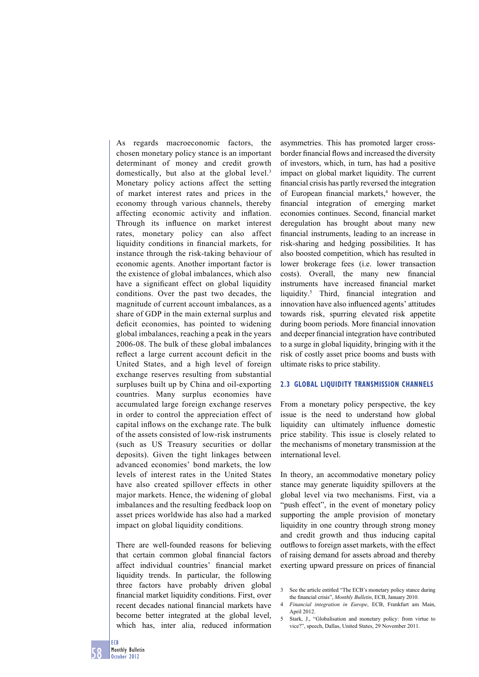As regards macroeconomic factors, the chosen monetary policy stance is an important determinant of money and credit growth domestically, but also at the global level.<sup>3</sup> Monetary policy actions affect the setting of market interest rates and prices in the economy through various channels, thereby affecting economic activity and inflation. Through its influence on market interest rates, monetary policy can also affect liquidity conditions in financial markets, for instance through the risk-taking behaviour of economic agents. Another important factor is the existence of global imbalances, which also have a significant effect on global liquidity conditions. Over the past two decades, the magnitude of current account imbalances, as a share of GDP in the main external surplus and deficit economies, has pointed to widening global imbalances, reaching a peak in the years 2006-08. The bulk of these global imbalances reflect a large current account deficit in the United States, and a high level of foreign exchange reserves resulting from substantial surpluses built up by China and oil-exporting countries. Many surplus economies have accumulated large foreign exchange reserves in order to control the appreciation effect of capital inflows on the exchange rate. The bulk of the assets consisted of low-risk instruments (such as US Treasury securities or dollar deposits). Given the tight linkages between advanced economies' bond markets, the low levels of interest rates in the United States have also created spillover effects in other major markets. Hence, the widening of global imbalances and the resulting feedback loop on asset prices worldwide has also had a marked impact on global liquidity conditions.

There are well-founded reasons for believing that certain common global financial factors affect individual countries' financial market liquidity trends. In particular, the following three factors have probably driven global financial market liquidity conditions. First, over recent decades national financial markets have become better integrated at the global level, which has, inter alia, reduced information

asymmetries. This has promoted larger crossborder financial flows and increased the diversity of investors, which, in turn, has had a positive impact on global market liquidity. The current financial crisis has partly reversed the integration of European financial markets,<sup>4</sup> however, the financial integration of emerging market economies continues. Second, financial market deregulation has brought about many new financial instruments, leading to an increase in risk-sharing and hedging possibilities. It has also boosted competition, which has resulted in lower brokerage fees (i.e. lower transaction costs). Overall, the many new financial instruments have increased financial market liquidity.<sup>5</sup> Third, financial integration and innovation have also influenced agents' attitudes towards risk, spurring elevated risk appetite during boom periods. More financial innovation and deeper financial integration have contributed to a surge in global liquidity, bringing with it the risk of costly asset price booms and busts with ultimate risks to price stability.

# **2.3 GLOBAL LIQUIDITY TRANSMISSION CHANNELS**

From a monetary policy perspective, the key issue is the need to understand how global liquidity can ultimately influence domestic price stability. This issue is closely related to the mechanisms of monetary transmission at the international level.

In theory, an accommodative monetary policy stance may generate liquidity spillovers at the global level via two mechanisms. First, via a "push effect", in the event of monetary policy supporting the ample provision of monetary liquidity in one country through strong money and credit growth and thus inducing capital outflows to foreign asset markets, with the effect of raising demand for assets abroad and thereby exerting upward pressure on prices of financial

<sup>3</sup> See the article entitled "The ECB's monetary policy stance during the financial crisis", *Monthly Bulletin*, ECB, January 2010.

<sup>4</sup> Financial integration in Europe, ECB, Frankfurt am Main, April 2012.

<sup>5</sup> Stark, J., "Globalisation and monetary policy: from virtue to vice?", speech, Dallas, United States, 29 November 2011.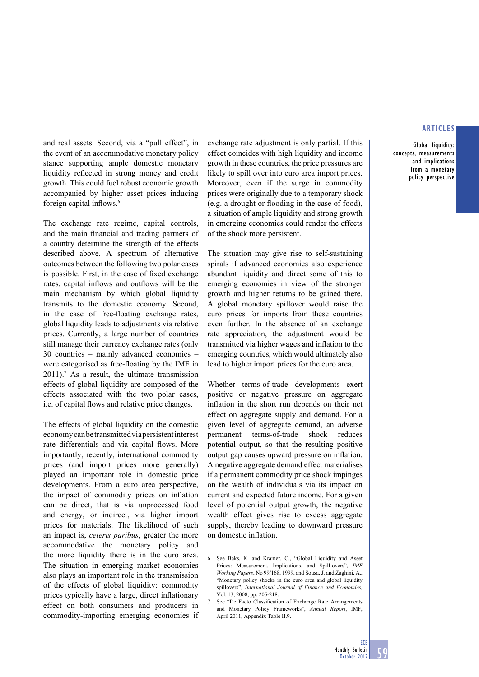Global liquidity: concepts, measurements and implications from a monetary policy perspective

and real assets. Second, via a "pull effect", in the event of an accommodative monetary policy stance supporting ample domestic monetary liquidity reflected in strong money and credit growth. This could fuel robust economic growth accompanied by higher asset prices inducing foreign capital inflows. $6$ 

The exchange rate regime, capital controls, and the main financial and trading partners of a country determine the strength of the effects described above. A spectrum of alternative outcomes between the following two polar cases is possible. First, in the case of fixed exchange rates, capital inflows and outflows will be the main mechanism by which global liquidity transmits to the domestic economy. Second, in the case of free-floating exchange rates, global liquidity leads to adjustments via relative prices. Currently, a large number of countries still manage their currency exchange rates (only 30 countries – mainly advanced economies – were categorised as free-floating by the IMF in  $2011$ ).<sup>7</sup> As a result, the ultimate transmission effects of global liquidity are composed of the effects associated with the two polar cases, i.e. of capital flows and relative price changes.

The effects of global liquidity on the domestic economy can be transmitted via persistent interest rate differentials and via capital flows. More importantly, recently, international commodity prices (and import prices more generally) played an important role in domestic price developments. From a euro area perspective, the impact of commodity prices on inflation can be direct, that is via unprocessed food and energy, or indirect, via higher import prices for materials. The likelihood of such an impact is, *ceteris paribus*, greater the more accommodative the monetary policy and the more liquidity there is in the euro area. The situation in emerging market economies also plays an important role in the transmission of the effects of global liquidity: commodity prices typically have a large, direct inflationary effect on both consumers and producers in commodity-importing emerging economies if exchange rate adjustment is only partial. If this effect coincides with high liquidity and income growth in these countries, the price pressures are likely to spill over into euro area import prices. Moreover, even if the surge in commodity prices were originally due to a temporary shock (e.g. a drought or flooding in the case of food), a situation of ample liquidity and strong growth in emerging economies could render the effects of the shock more persistent.

The situation may give rise to self-sustaining spirals if advanced economies also experience abundant liquidity and direct some of this to emerging economies in view of the stronger growth and higher returns to be gained there. A global monetary spillover would raise the euro prices for imports from these countries even further. In the absence of an exchange rate appreciation, the adjustment would be transmitted via higher wages and inflation to the emerging countries, which would ultimately also lead to higher import prices for the euro area.

Whether terms-of-trade developments exert positive or negative pressure on aggregate inflation in the short run depends on their net effect on aggregate supply and demand. For a given level of aggregate demand, an adverse permanent terms-of-trade shock reduces potential output, so that the resulting positive output gap causes upward pressure on inflation. A negative aggregate demand effect materialises if a permanent commodity price shock impinges on the wealth of individuals via its impact on current and expected future income. For a given level of potential output growth, the negative wealth effect gives rise to excess aggregate supply, thereby leading to downward pressure on domestic inflation.

<sup>6</sup> See Baks, K. and Kramer, C., "Global Liquidity and Asset Prices: Measurement, Implications, and Spill-overs", *IMF Working Papers*, No 99/168, 1999, and Sousa, J. and Zaghini, A., "Monetary policy shocks in the euro area and global liquidity spillovers", *International Journal of Finance and Economics*, Vol. 13, 2008, pp. 205-218.

<sup>7</sup> See "De Facto Classification of Exchange Rate Arrangements and Monetary Policy Frameworks", *Annual Report*, IMF, April 2011, Appendix Table II.9.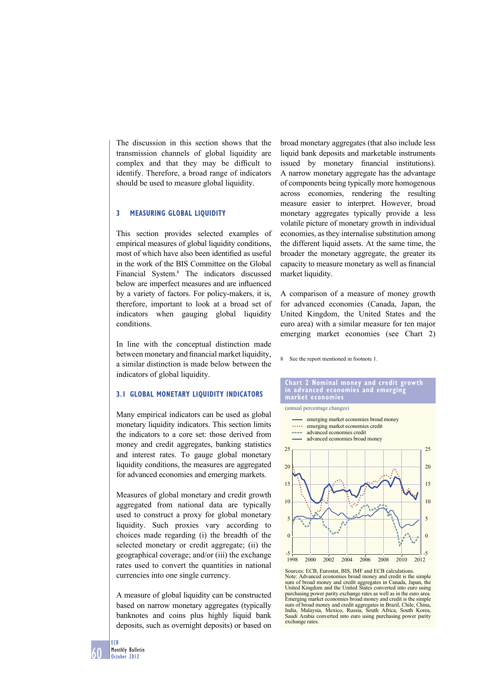The discussion in this section shows that the transmission channels of global liquidity are complex and that they may be difficult to identify. Therefore, a broad range of indicators should be used to measure global liquidity.

# **3 MEASURING GLOBAL LIQUIDITY**

This section provides selected examples of empirical measures of global liquidity conditions, most of which have also been identified as useful in the work of the BIS Committee on the Global Financial System.8 The indicators discussed below are imperfect measures and are influenced by a variety of factors. For policy-makers, it is, therefore, important to look at a broad set of indicators when gauging global liquidity conditions.

In line with the conceptual distinction made between monetary and financial market liquidity, a similar distinction is made below between the indicators of global liquidity.

# **3.1 GLOBAL MONETARY LIQUIDITY INDICATORS**

Many empirical indicators can be used as global monetary liquidity indicators. This section limits the indicators to a core set: those derived from money and credit aggregates, banking statistics and interest rates. To gauge global monetary liquidity conditions, the measures are aggregated for advanced economies and emerging markets.

Measures of global monetary and credit growth aggregated from national data are typically used to construct a proxy for global monetary liquidity. Such proxies vary according to choices made regarding (i) the breadth of the selected monetary or credit aggregate; (ii) the geographical coverage; and/or (iii) the exchange rates used to convert the quantities in national currencies into one single currency.

A measure of global liquidity can be constructed based on narrow monetary aggregates (typically banknotes and coins plus highly liquid bank deposits, such as overnight deposits) or based on broad monetary aggregates (that also include less liquid bank deposits and marketable instruments issued by monetary financial institutions). A narrow monetary aggregate has the advantage of components being typically more homogenous across economies, rendering the resulting measure easier to interpret. However, broad monetary aggregates typically provide a less volatile picture of monetary growth in individual economies, as they internalise substitution among the different liquid assets. At the same time, the broader the monetary aggregate, the greater its capacity to measure monetary as well as financial market liquidity.

A comparison of a measure of money growth for advanced economies (Canada, Japan, the United Kingdom, the United States and the euro area) with a similar measure for ten major emerging market economies (see Chart 2)

8 See the report mentioned in footnote 1.

#### **Chart 2 Nominal money and credit growth in advanced economies and emerging market economies**

(annual percentage changes)



Sources: ECB, Eurostat, BIS, IMF and ECB calculations. Note: Advanced economies broad money and credit is the simple sum of broad money and credit aggregates in Canada, Japan, the United Kingdom and the United States converted into euro using purchasing power parity exchange rates as well as in the euro area. Emerging market economies broad money and credit is the simple sum of broad money and credit aggregates in Brazil, Chile, China, India, Malaysia, Mexico, Russia, South Africa, South Korea, Saudi Arabia converted into euro using purchasing power parity exchange rates.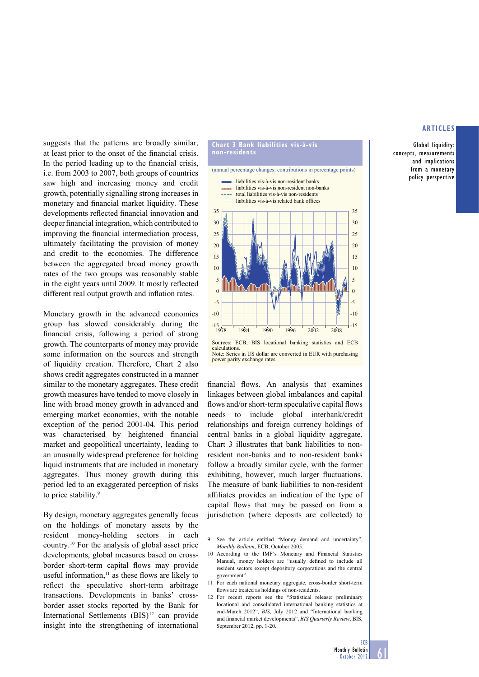Global liquidity: concepts, measurements and implications from a monetary policy perspective

suggests that the patterns are broadly similar, at least prior to the onset of the financial crisis. In the period leading up to the financial crisis, i.e. from 2003 to 2007, both groups of countries saw high and increasing money and credit growth, potentially signalling strong increases in monetary and financial market liquidity. These developments reflected financial innovation and deeper financial integration, which contributed to improving the financial intermediation process, ultimately facilitating the provision of money and credit to the economies. The difference between the aggregated broad money growth rates of the two groups was reasonably stable in the eight years until 2009. It mostly reflected different real output growth and inflation rates.

Monetary growth in the advanced economies group has slowed considerably during the financial crisis, following a period of strong growth. The counterparts of money may provide some information on the sources and strength of liquidity creation. Therefore, Chart 2 also shows credit aggregates constructed in a manner similar to the monetary aggregates. These credit growth measures have tended to move closely in line with broad money growth in advanced and emerging market economies, with the notable exception of the period 2001-04. This period was characterised by heightened financial market and geopolitical uncertainty, leading to an unusually widespread preference for holding liquid instruments that are included in monetary aggregates. Thus money growth during this period led to an exaggerated perception of risks to price stability.<sup>9</sup>

By design, monetary aggregates generally focus on the holdings of monetary assets by the resident money-holding sectors in each country.10 For the analysis of global asset price developments, global measures based on crossborder short-term capital flows may provide useful information, $11$  as these flows are likely to reflect the speculative short-term arbitrage transactions. Developments in banks' crossborder asset stocks reported by the Bank for International Settlements (BIS)<sup>12</sup> can provide insight into the strengthening of international



calculations. Note: Series in US dollar are converted in EUR with purchasing power parity exchange rates

financial flows. An analysis that examines linkages between global imbalances and capital flows and/or short-term speculative capital flows needs to include global interbank/credit relationships and foreign currency holdings of central banks in a global liquidity aggregate. Chart 3 illustrates that bank liabilities to nonresident non-banks and to non-resident banks follow a broadly similar cycle, with the former exhibiting, however, much larger fluctuations. The measure of bank liabilities to non-resident affiliates provides an indication of the type of capital flows that may be passed on from a jurisdiction (where deposits are collected) to

- 9 See the article entitled "Money demand and uncertainty", *Monthly Bulletin*, ECB, October 2005.
- 10 According to the IMF's Monetary and Financial Statistics Manual, money holders are "usually defined to include all resident sectors except depository corporations and the central government".
- 11 For each national monetary aggregate, cross-border short-term flows are treated as holdings of non-residents.
- 12 For recent reports see the "Statistical release: preliminary locational and consolidated international banking statistics at end-March 2012", *BIS*, July 2012 and "International banking and financial market developments", *BIS Quarterly Review*, BIS, September 2012, pp. 1-20.

**ECB** 

<u>61</u>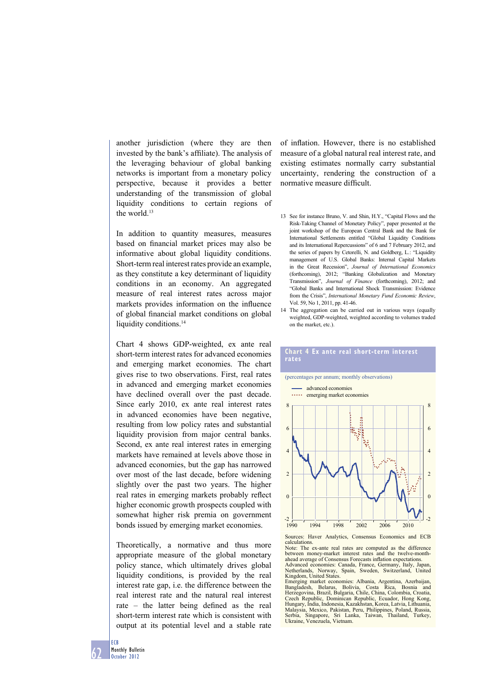another jurisdiction (where they are then invested by the bank's affiliate). The analysis of the leveraging behaviour of global banking networks is important from a monetary policy perspective, because it provides a better understanding of the transmission of global liquidity conditions to certain regions of the world.<sup>13</sup>

In addition to quantity measures, measures based on financial market prices may also be informative about global liquidity conditions. Short-term real interest rates provide an example, as they constitute a key determinant of liquidity conditions in an economy. An aggregated measure of real interest rates across major markets provides information on the influence of global financial market conditions on global liquidity conditions.<sup>14</sup>

Chart 4 shows GDP-weighted, ex ante real short-term interest rates for advanced economies and emerging market economies. The chart gives rise to two observations. First, real rates in advanced and emerging market economies have declined overall over the past decade. Since early 2010, ex ante real interest rates in advanced economies have been negative, resulting from low policy rates and substantial liquidity provision from major central banks. Second, ex ante real interest rates in emerging markets have remained at levels above those in advanced economies, but the gap has narrowed over most of the last decade, before widening slightly over the past two years. The higher real rates in emerging markets probably reflect higher economic growth prospects coupled with somewhat higher risk premia on government bonds issued by emerging market economies.

Theoretically, a normative and thus more appropriate measure of the global monetary policy stance, which ultimately drives global liquidity conditions, is provided by the real interest rate gap, i.e. the difference between the real interest rate and the natural real interest rate – the latter being defined as the real short-term interest rate which is consistent with output at its potential level and a stable rate

of inflation. However, there is no established measure of a global natural real interest rate, and existing estimates normally carry substantial uncertainty, rendering the construction of a normative measure difficult.

- 13 See for instance Bruno, V. and Shin, H.Y., "Capital Flows and the Risk-Taking Channel of Monetary Policy", paper presented at the joint workshop of the European Central Bank and the Bank for International Settlements entitled "Global Liquidity Conditions and its International Repercussions" of 6 and 7 February 2012, and the series of papers by Cetorelli, N. and Goldberg, L.: "Liquidity management of U.S. Global Banks: Internal Capital Markets in the Great Recession", *Journal of International Economics*  (forthcoming), 2012; "Banking Globalization and Monetary Transmission", *Journal of Finance* (forthcoming), 2012; and "Global Banks and International Shock Transmission: Evidence from the Crisis", *International Monetary Fund Economic Review*, Vol. 59, No 1, 2011, pp. 41-46.
- 14 The aggregation can be carried out in various ways (equally weighted, GDP-weighted, weighted according to volumes traded on the market, etc.).

**Chart 4 Ex ante real short-term interest** 

**rates**



Sources: Haver Analytics, Consensus Economics and ECB calculations.

Note: The ex-ante real rates are computed as the difference between money-market interest rates and the twelve-monthahead average of Consensus Forecasts inflation expectations.

Advanced economies: Canada, France, Germany, Italy, Japan, Netherlands, Norway, Spain, Sweden, Switzerland, United Kingdom, United States.

Emerging market economies: Albania, Argentina, Azerbaijan, Bangladesh, Belarus, Bolivia, Costa Rica, Bosnia and Herzegovina, Brazil, Bulgaria, Chile, China, Colombia, Croatia, Czech Republic, Dominican Republic, Ecuador, Hong Kong, Hungary, India, Indonesia, Kazakhstan, Korea, Latvia, Lithuania, Malaysia, Mexico, Pakistan, Peru, Philippines, Poland, Russia, Serbia, Singapore, Sri Lanka, Taiwan, Thailand, Turkey, Ukraine, Venezuela, Vietnam.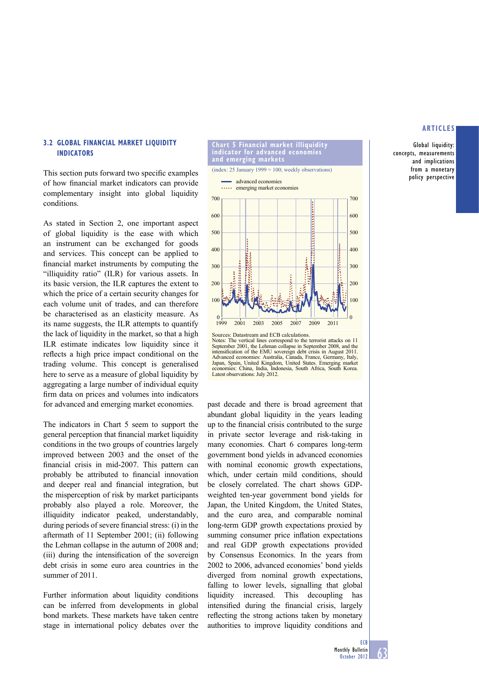Global liquidity: concepts, measurements and implications from a monetary policy perspective

# **3.2 GLOBAL FINANCIAL MARKET LIQUIDITY INDICATORS**

This section puts forward two specific examples of how financial market indicators can provide complementary insight into global liquidity conditions.

As stated in Section 2, one important aspect of global liquidity is the ease with which an instrument can be exchanged for goods and services. This concept can be applied to financial market instruments by computing the "illiquidity ratio" (ILR) for various assets. In its basic version, the ILR captures the extent to which the price of a certain security changes for each volume unit of trades, and can therefore be characterised as an elasticity measure. As its name suggests, the ILR attempts to quantify the lack of liquidity in the market, so that a high ILR estimate indicates low liquidity since it reflects a high price impact conditional on the trading volume. This concept is generalised here to serve as a measure of global liquidity by aggregating a large number of individual equity firm data on prices and volumes into indicators for advanced and emerging market economies.

The indicators in Chart 5 seem to support the general perception that financial market liquidity conditions in the two groups of countries largely improved between 2003 and the onset of the financial crisis in mid-2007. This pattern can probably be attributed to financial innovation and deeper real and financial integration, but the misperception of risk by market participants probably also played a role. Moreover, the illiquidity indicator peaked, understandably, during periods of severe financial stress:  $(i)$  in the aftermath of 11 September 2001; (ii) following the Lehman collapse in the autumn of 2008 and; (iii) during the intensification of the sovereign debt crisis in some euro area countries in the summer of 2011.

Further information about liquidity conditions can be inferred from developments in global bond markets. These markets have taken centre stage in international policy debates over the



Notes: The vertical lines correspond to the terrorist attacks on 11 September 2001, the Lehman collapse in September 2008, and the intensification of the EMU sovereign debt crisis in August 2011. Advanced economies: Australia, Canada, France, Germany, Italy, Japan, Spain, United Kingdom, United States. Emerging market economies: China, India, Indonesia, South Africa, South Korea. Latest observations: July 2012

past decade and there is broad agreement that abundant global liquidity in the years leading up to the financial crisis contributed to the surge in private sector leverage and risk-taking in many economies. Chart 6 compares long-term government bond yields in advanced economies with nominal economic growth expectations, which, under certain mild conditions, should be closely correlated. The chart shows GDPweighted ten-year government bond yields for Japan, the United Kingdom, the United States, and the euro area, and comparable nominal long-term GDP growth expectations proxied by summing consumer price inflation expectations and real GDP growth expectations provided by Consensus Economics. In the years from 2002 to 2006, advanced economies' bond yields diverged from nominal growth expectations, falling to lower levels, signalling that global liquidity increased. This decoupling has intensified during the financial crisis, largely reflecting the strong actions taken by monetary authorities to improve liquidity conditions and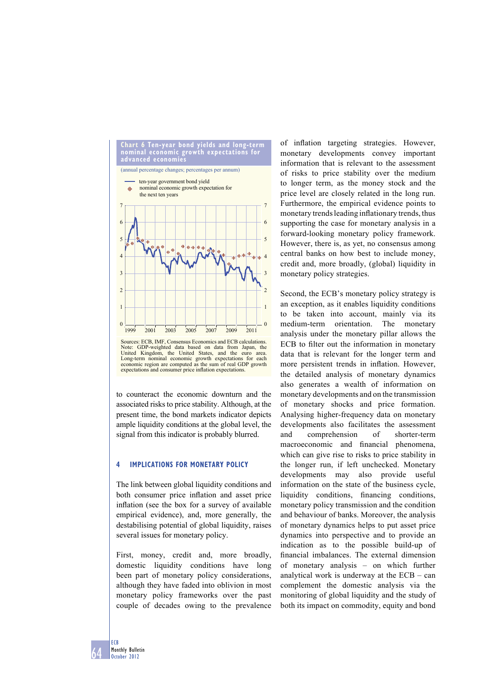

业业



4

to counteract the economic downturn and the associated risks to price stability. Although, at the present time, the bond markets indicator depicts ample liquidity conditions at the global level, the signal from this indicator is probably blurred.

## **4 IMPLICATIONS FOR MONETARY POLICY**

The link between global liquidity conditions and both consumer price inflation and asset price inflation (see the box for a survey of available empirical evidence), and, more generally, the destabilising potential of global liquidity, raises several issues for monetary policy.

First, money, credit and, more broadly, domestic liquidity conditions have long been part of monetary policy considerations, although they have faded into oblivion in most monetary policy frameworks over the past couple of decades owing to the prevalence of inflation targeting strategies. However, monetary developments convey important information that is relevant to the assessment of risks to price stability over the medium to longer term, as the money stock and the price level are closely related in the long run. Furthermore, the empirical evidence points to monetary trends leading inflationary trends, thus supporting the case for monetary analysis in a forward-looking monetary policy framework. However, there is, as yet, no consensus among central banks on how best to include money, credit and, more broadly, (global) liquidity in monetary policy strategies.

Second, the ECB's monetary policy strategy is an exception, as it enables liquidity conditions to be taken into account, mainly via its medium-term orientation. The monetary analysis under the monetary pillar allows the ECB to filter out the information in monetary data that is relevant for the longer term and more persistent trends in inflation. However, the detailed analysis of monetary dynamics also generates a wealth of information on monetary developments and on the transmission of monetary shocks and price formation. Analysing higher-frequency data on monetary developments also facilitates the assessment and comprehension of shorter-term macroeconomic and financial phenomena, which can give rise to risks to price stability in the longer run, if left unchecked. Monetary developments may also provide useful information on the state of the business cycle, liquidity conditions, financing conditions, monetary policy transmission and the condition and behaviour of banks. Moreover, the analysis of monetary dynamics helps to put asset price dynamics into perspective and to provide an indication as to the possible build-up of financial imbalances. The external dimension of monetary analysis – on which further analytical work is underway at the ECB – can complement the domestic analysis via the monitoring of global liquidity and the study of both its impact on commodity, equity and bond

4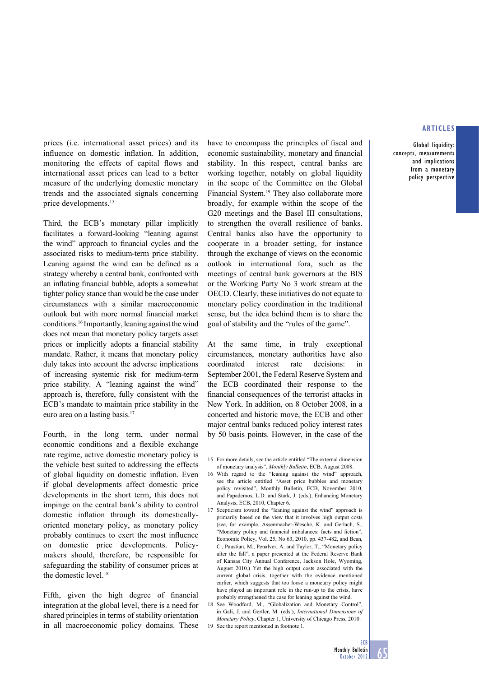Global liquidity: concepts, measurements and implications from a monetary policy perspective

prices (i.e. international asset prices) and its influence on domestic inflation. In addition, monitoring the effects of capital flows and international asset prices can lead to a better measure of the underlying domestic monetary trends and the associated signals concerning price developments.15

Third, the ECB's monetary pillar implicitly facilitates a forward-looking "leaning against the wind" approach to financial cycles and the associated risks to medium-term price stability. Leaning against the wind can be defined as a strategy whereby a central bank, confronted with an inflating financial bubble, adopts a somewhat tighter policy stance than would be the case under circumstances with a similar macroeconomic outlook but with more normal financial market conditions.16 Importantly, leaning against the wind does not mean that monetary policy targets asset prices or implicitly adopts a financial stability mandate. Rather, it means that monetary policy duly takes into account the adverse implications of increasing systemic risk for medium-term price stability. A "leaning against the wind" approach is, therefore, fully consistent with the ECB's mandate to maintain price stability in the euro area on a lasting basis.17

Fourth, in the long term, under normal economic conditions and a flexible exchange rate regime, active domestic monetary policy is the vehicle best suited to addressing the effects of global liquidity on domestic inflation. Even if global developments affect domestic price developments in the short term, this does not impinge on the central bank's ability to control domestic inflation through its domesticallyoriented monetary policy, as monetary policy probably continues to exert the most influence on domestic price developments. Policymakers should, therefore, be responsible for safeguarding the stability of consumer prices at the domestic level.<sup>18</sup>

Fifth, given the high degree of financial integration at the global level, there is a need for shared principles in terms of stability orientation in all macroeconomic policy domains. These have to encompass the principles of fiscal and economic sustainability, monetary and financial stability. In this respect, central banks are working together, notably on global liquidity in the scope of the Committee on the Global Financial System.19 They also collaborate more broadly, for example within the scope of the G20 meetings and the Basel III consultations, to strengthen the overall resilience of banks. Central banks also have the opportunity to cooperate in a broader setting, for instance through the exchange of views on the economic outlook in international fora, such as the meetings of central bank governors at the BIS or the Working Party No 3 work stream at the OECD. Clearly, these initiatives do not equate to monetary policy coordination in the traditional sense, but the idea behind them is to share the goal of stability and the "rules of the game".

At the same time, in truly exceptional circumstances, monetary authorities have also coordinated interest rate decisions: in September 2001, the Federal Reserve System and the ECB coordinated their response to the financial consequences of the terrorist attacks in New York. In addition, on 8 October 2008, in a concerted and historic move, the ECB and other major central banks reduced policy interest rates by 50 basis points. However, in the case of the

- 16 With regard to the "leaning against the wind" approach, see the article entitled "Asset price bubbles and monetary policy revisited", Monthly Bulletin, ECB, November 2010, and Papademos, L.D. and Stark, J. (eds.), Enhancing Monetary Analysis, ECB, 2010, Chapter 6.
- 17 Scepticism toward the "leaning against the wind" approach is primarily based on the view that it involves high output costs (see, for example, Assenmacher-Wesche, K. and Gerlach, S., "Monetary policy and financial imbalances: facts and fiction", Economic Policy, Vol. 25, No 63, 2010, pp. 437-482, and Bean, C., Paustian, M., Penalver, A. and Taylor, T., "Monetary policy after the fall", a paper presented at the Federal Reserve Bank of Kansas City Annual Conference, Jackson Hole, Wyoming, August 2010.) Yet the high output costs associated with the current global crisis, together with the evidence mentioned earlier, which suggests that too loose a monetary policy might have played an important role in the run-up to the crisis, have probably strengthened the case for leaning against the wind.
- 18 See Woodford, M., "Globalization and Monetary Control", in Galí, J. and Gertler, M. (eds.), *International Dimensions of Monetary Policy*, Chapter 1, University of Chicago Press, 2010.
- 19 See the report mentioned in footnote 1.

<sup>15</sup> For more details, see the article entitled "The external dimension of monetary analysis", *Monthly Bulletin*, ECB, August 2008.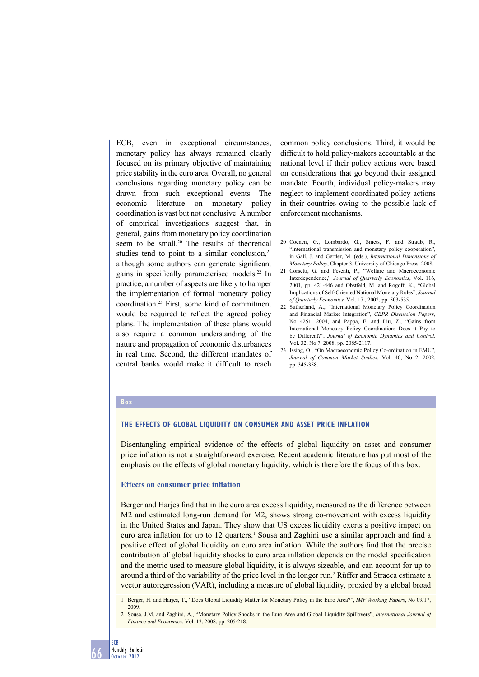ECB, even in exceptional circumstances, monetary policy has always remained clearly focused on its primary objective of maintaining price stability in the euro area. Overall, no general conclusions regarding monetary policy can be drawn from such exceptional events. The economic literature on monetary policy coordination is vast but not conclusive. A number of empirical investigations suggest that, in general, gains from monetary policy coordination seem to be small.<sup>20</sup> The results of theoretical studies tend to point to a similar conclusion, $21$ although some authors can generate significant gains in specifically parameterised models.<sup>22</sup> In practice, a number of aspects are likely to hamper the implementation of formal monetary policy coordination.23 First, some kind of commitment would be required to reflect the agreed policy plans. The implementation of these plans would also require a common understanding of the nature and propagation of economic disturbances in real time. Second, the different mandates of central banks would make it difficult to reach

common policy conclusions. Third, it would be difficult to hold policy-makers accountable at the national level if their policy actions were based on considerations that go beyond their assigned mandate. Fourth, individual policy-makers may neglect to implement coordinated policy actions in their countries owing to the possible lack of enforcement mechanisms.

- 20 Coenen, G., Lombardo, G., Smets, F. and Straub, R., "International transmission and monetary policy cooperation", in Galí, J. and Gertler, M. (eds.), *International Dimensions of Monetary Policy*, Chapter 3, University of Chicago Press, 2008.
- 21 Corsetti, G. and Pesenti, P., "Welfare and Macroeconomic Interdependence," *Journal of Quarterly Economics*, Vol. 116, 2001, pp. 421-446 and Obstfeld, M. and Rogoff, K., "Global Implications of Self-Oriented National Monetary Rules", *Journal of Quarterly Economics,* Vol. 17 *,* 2002, pp. 503-535.
- 22 Sutherland, A., "International Monetary Policy Coordination and Financial Market Integration", *CEPR Discussion Papers*, No 4251, 2004, and Pappa, E. and Liu, Z., "Gains from International Monetary Policy Coordination: Does it Pay to be Different?", *Journal of Economic Dynamics and Control*, Vol. 32, No 7, 2008, pp. 2085-2117.
- 23 Issing, O., "On Macroeconomic Policy Co-ordination in EMU", *Journal of Common Market Studies*, Vol. 40, No 2, 2002, pp. 345-358.

#### **Box**

## **THE EFFECTS OF GLOBAL LIQUIDITY ON CONSUMER AND ASSET PRICE INFLATION**

Disentangling empirical evidence of the effects of global liquidity on asset and consumer price inflation is not a straightforward exercise. Recent academic literature has put most of the emphasis on the effects of global monetary liquidity, which is therefore the focus of this box.

## **Effects on consumer price inflation**

Berger and Harjes find that in the euro area excess liquidity, measured as the difference between M2 and estimated long-run demand for M2, shows strong co-movement with excess liquidity in the United States and Japan. They show that US excess liquidity exerts a positive impact on euro area inflation for up to 12 quarters.<sup>1</sup> Sousa and Zaghini use a similar approach and find a positive effect of global liquidity on euro area inflation. While the authors find that the precise contribution of global liquidity shocks to euro area inflation depends on the model specification and the metric used to measure global liquidity, it is always sizeable, and can account for up to around a third of the variability of the price level in the longer run.2 Rüffer and Stracca estimate a vector autoregression (VAR), including a measure of global liquidity, proxied by a global broad

- 1 Berger, H. and Harjes, T., "Does Global Liquidity Matter for Monetary Policy in the Euro Area?", *IMF Working Papers*, No 09/17, 2009.
- 2 Sousa, J.M. and Zaghini, A., "Monetary Policy Shocks in the Euro Area and Global Liquidity Spillovers", *International Journal of Finance and Economics*, Vol. 13, 2008, pp. 205-218.

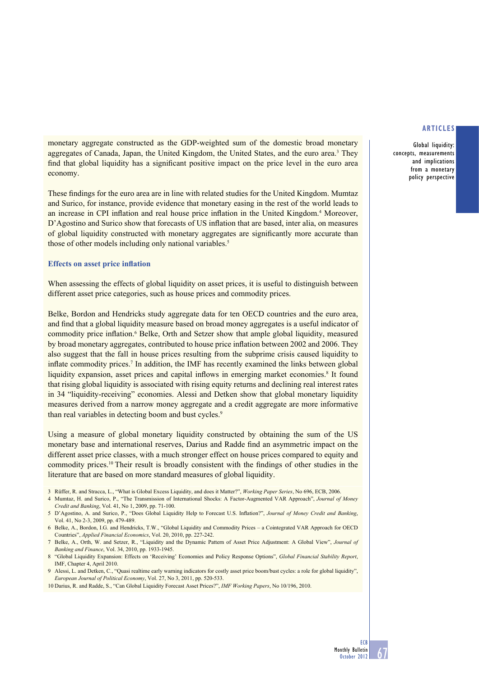monetary aggregate constructed as the GDP-weighted sum of the domestic broad monetary aggregates of Canada, Japan, the United Kingdom, the United States, and the euro area.<sup>3</sup> They find that global liquidity has a significant positive impact on the price level in the euro area economy.

These findings for the euro area are in line with related studies for the United Kingdom. Mumtaz and Surico, for instance, provide evidence that monetary easing in the rest of the world leads to an increase in CPI inflation and real house price inflation in the United Kingdom.<sup>4</sup> Moreover, D'Agostino and Surico show that forecasts of US inflation that are based, inter alia, on measures of global liquidity constructed with monetary aggregates are significantly more accurate than those of other models including only national variables.<sup>5</sup>

## **Effects on asset price inflation**

When assessing the effects of global liquidity on asset prices, it is useful to distinguish between different asset price categories, such as house prices and commodity prices.

Belke, Bordon and Hendricks study aggregate data for ten OECD countries and the euro area, and find that a global liquidity measure based on broad money aggregates is a useful indicator of commodity price inflation.<sup>6</sup> Belke, Orth and Setzer show that ample global liquidity, measured by broad monetary aggregates, contributed to house price inflation between 2002 and 2006. They also suggest that the fall in house prices resulting from the subprime crisis caused liquidity to inflate commodity prices.<sup>7</sup> In addition, the IMF has recently examined the links between global liquidity expansion, asset prices and capital inflows in emerging market economies.<sup>8</sup> It found that rising global liquidity is associated with rising equity returns and declining real interest rates in 34 "liquidity-receiving" economies. Alessi and Detken show that global monetary liquidity measures derived from a narrow money aggregate and a credit aggregate are more informative than real variables in detecting boom and bust cycles.<sup>9</sup>

Using a measure of global monetary liquidity constructed by obtaining the sum of the US monetary base and international reserves. Darius and Radde find an asymmetric impact on the different asset price classes, with a much stronger effect on house prices compared to equity and commodity prices.<sup>10</sup> Their result is broadly consistent with the findings of other studies in the literature that are based on more standard measures of global liquidity.

- 3 Rüffer, R. and Stracca, L., "What is Global Excess Liquidity, and does it Matter?", *Working Paper Series*, No 696, ECB, 2006.
- 4 Mumtaz, H. and Surico, P., "The Transmission of International Shocks: A Factor-Augmented VAR Approach", *Journal of Money Credit and Banking*, Vol. 41, No 1, 2009, pp. 71-100.
- 5 D'Agostino, A. and Surico, P., "Does Global Liquidity Help to Forecast U.S. Inflation?", *Journal of Money Credit and Banking*, Vol. 41, No 2-3, 2009, pp. 479-489.
- 6 Belke, A., Bordon, I.G. and Hendricks, T.W., "Global Liquidity and Commodity Prices a Cointegrated VAR Approach for OECD Countries", *Applied Financial Economics*, Vol. 20, 2010, pp. 227-242.
- 7 Belke, A., Orth, W. and Setzer, R., "Liquidity and the Dynamic Pattern of Asset Price Adjustment: A Global View", *Journal of Banking and Finance*, Vol. 34, 2010, pp. 1933-1945.
- 8 "Global Liquidity Expansion: Effects on 'Receiving' Economies and Policy Response Options", *Global Financial Stability Report*, IMF, Chapter 4, April 2010.
- 9 Alessi, L. and Detken, C., "Quasi realtime early warning indicators for costly asset price boom/bust cycles: a role for global liquidity", *European Journal of Political Economy*, Vol. 27, No 3, 2011, pp. 520-533.
- 10 Darius, R. and Radde, S., "Can Global Liquidity Forecast Asset Prices?", *IMF Working Papers*, No 10/196, 2010.

## **ARTICLES**

Global liquidity: concepts, measurements and implications from a monetary policy perspective